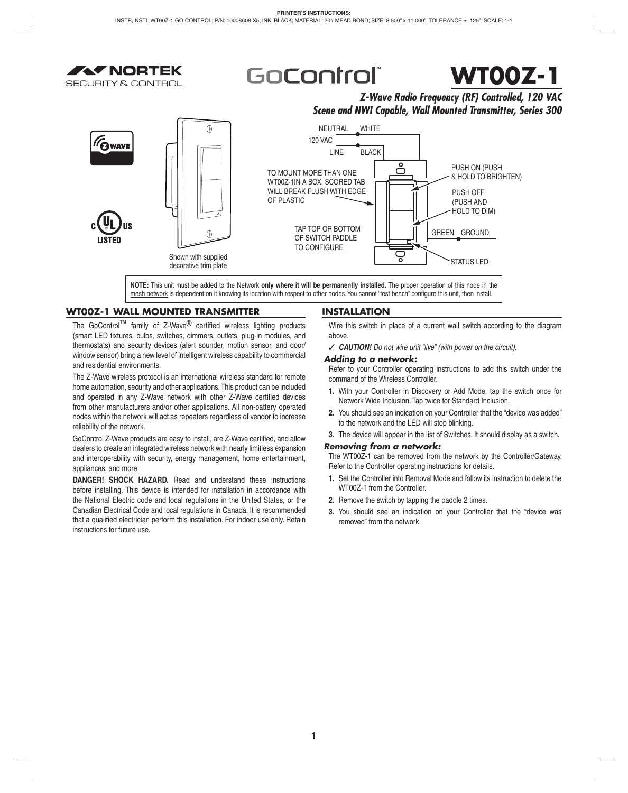

# GoControl



# *Z-Wave Radio Frequency (RF) Controlled, 120 VAC Scene and NWI Capable, Wall Mounted Transmitter, Series 300*



**NOTE:** This unit must be added to the Network **only where it will be permanently installed.** The proper operation of this node in the mesh network is dependent on it knowing its location with respect to other nodes. You cannot "test bench" configure this unit, then install.

# **WT00Z-1 WALL MOUNTED TRANSMITTER**

The GoControl<sup>™</sup> family of Z-Wave<sup>®</sup> certified wireless lighting products (smart LED fixtures, bulbs, switches, dimmers, outlets, plug-in modules, and thermostats) and security devices (alert sounder, motion sensor, and door/ window sensor) bring a new level of intelligent wireless capability to commercial and residential environments.

The Z-Wave wireless protocol is an international wireless standard for remote home automation, security and other applications. This product can be included and operated in any Z-Wave network with other Z-Wave certified devices from other manufacturers and/or other applications. All non-battery operated nodes within the network will act as repeaters regardless of vendor to increase reliability of the network.

GoControl Z-Wave products are easy to install, are Z-Wave certified, and allow dealers to create an integrated wireless network with nearly limitless expansion and interoperability with security, energy management, home entertainment, appliances, and more.

**DANGER! SHOCK HAZARD.** Read and understand these instructions before installing. This device is intended for installation in accordance with the National Electric code and local regulations in the United States, or the Canadian Electrical Code and local regulations in Canada. It is recommended that a qualified electrician perform this installation. For indoor use only. Retain instructions for future use.

# **INSTALLATION**

Wire this switch in place of a current wall switch according to the diagram above.

✓ *CAUTION! Do not wire unit "live" (with power on the circuit).*

# *Adding to a network:*

Refer to your Controller operating instructions to add this switch under the command of the Wireless Controller.

- **1.** With your Controller in Discovery or Add Mode, tap the switch once for Network Wide Inclusion. Tap twice for Standard Inclusion.
- **2.** You should see an indication on your Controller that the "device was added" to the network and the LED will stop blinking.
- **3.** The device will appear in the list of Switches. It should display as a switch.

# *Removing from a network:*

The WT00Z-1 can be removed from the network by the Controller/Gateway. Refer to the Controller operating instructions for details.

- **1.** Set the Controller into Removal Mode and follow its instruction to delete the WT00Z-1 from the Controller.
- **2.** Remove the switch by tapping the paddle 2 times.
- **3.** You should see an indication on your Controller that the "device was removed" from the network.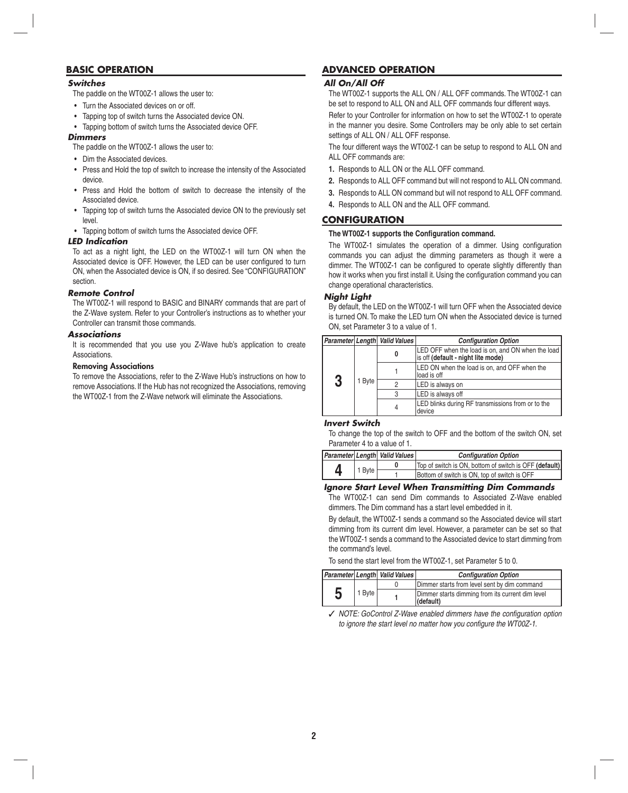# **BASIC OPERATION**

# *Switches*

The paddle on the WT00Z-1 allows the user to:

- Turn the Associated devices on or off.
- Tapping top of switch turns the Associated device ON.
- Tapping bottom of switch turns the Associated device OFF.

## *Dimmers*

The paddle on the WT00Z-1 allows the user to:

- Dim the Associated devices.
- Press and Hold the top of switch to increase the intensity of the Associated device.
- Press and Hold the bottom of switch to decrease the intensity of the Associated device.
- Tapping top of switch turns the Associated device ON to the previously set level.
- Tapping bottom of switch turns the Associated device OFF.

## *LED Indication*

To act as a night light, the LED on the WT00Z-1 will turn ON when the Associated device is OFF. However, the LED can be user configured to turn ON, when the Associated device is ON, if so desired. See "CONFIGURATION" section.

# *Remote Control*

The WT00Z-1 will respond to BASIC and BINARY commands that are part of the Z-Wave system. Refer to your Controller's instructions as to whether your Controller can transmit those commands.

# *Associations*

It is recommended that you use you Z-Wave hub's application to create Associations.

#### **Removing Associations**

To remove the Associations, refer to the Z-Wave Hub's instructions on how to remove Associations. If the Hub has not recognized the Associations, removing the WT00Z-1 from the Z-Wave network will eliminate the Associations.

# **ADVANCED OPERATION**

# *All On/All Off*

The WT00Z-1 supports the ALL ON / ALL OFF commands. The WT00Z-1 can be set to respond to ALL ON and ALL OFF commands four different ways.

Refer to your Controller for information on how to set the WT00Z-1 to operate in the manner you desire. Some Controllers may be only able to set certain settings of ALL ON / ALL OFF response.

The four different ways the WT00Z-1 can be setup to respond to ALL ON and ALL OFF commands are:

- **1.** Responds to ALL ON or the ALL OFF command.
- **2.** Responds to ALL OFF command but will not respond to ALL ON command.
- **3.** Responds to ALL ON command but will not respond to ALL OFF command.
- **4.** Responds to ALL ON and the ALL OFF command.

# **CONFIGURATION**

## The WT00Z-1 supports the Configuration command.

The WT00Z-1 simulates the operation of a dimmer. Using configuration commands you can adjust the dimming parameters as though it were a dimmer. The WT00Z-1 can be configured to operate slightly differently than how it works when you first install it. Using the configuration command you can change operational characteristics.

# *Night Light*

By default, the LED on the WT00Z-1 will turn OFF when the Associated device is turned ON. To make the LED turn ON when the Associated device is turned ON, set Parameter 3 to a value of 1.

|   |        | Parameter Length Valid Values | <b>Configuration Option</b>                                                             |
|---|--------|-------------------------------|-----------------------------------------------------------------------------------------|
| 3 | 1 Byte | 0                             | LED OFF when the load is on, and ON when the load<br>is off (default - night lite mode) |
|   |        |                               | LED ON when the load is on, and OFF when the<br>load is off                             |
|   |        | 2                             | LED is always on                                                                        |
|   |        | 3                             | LED is always off                                                                       |
|   |        | 4                             | LED blinks during RF transmissions from or to the<br>device                             |

## *Invert Switch*

To change the top of the switch to OFF and the bottom of the switch ON, set Parameter 4 to a value of 1.

|   |        | <b>Parameter Length Valid Values</b> | <b>Configuration Option</b>                            |
|---|--------|--------------------------------------|--------------------------------------------------------|
| 4 | 1 Byte |                                      | Top of switch is ON, bottom of switch is OFF (default) |
|   |        |                                      | Bottom of switch is ON, top of switch is OFF           |

# *Ignore Start Level When Transmitting Dim Commands*

The WT00Z-1 can send Dim commands to Associated Z-Wave enabled dimmers. The Dim command has a start level embedded in it.

By default, the WT00Z-1 sends a command so the Associated device will start dimming from its current dim level. However, a parameter can be set so that the WT00Z-1 sends a command to the Associated device to start dimming from the command's level.

To send the start level from the WT00Z-1, set Parameter 5 to 0.

|   |        |  | <b>Parameter Length Valid Values</b>                          | <b>Configuration Option</b> |
|---|--------|--|---------------------------------------------------------------|-----------------------------|
| 5 | 1 Byte |  | Dimmer starts from level sent by dim command                  |                             |
|   |        |  | Dimmer starts dimming from its current dim level<br>(default) |                             |

✓ *NOTE: GoControl Z-Wave enabled dimmers have the confi guration option to ignore the start level no matter how you configure the WT00Z-1.*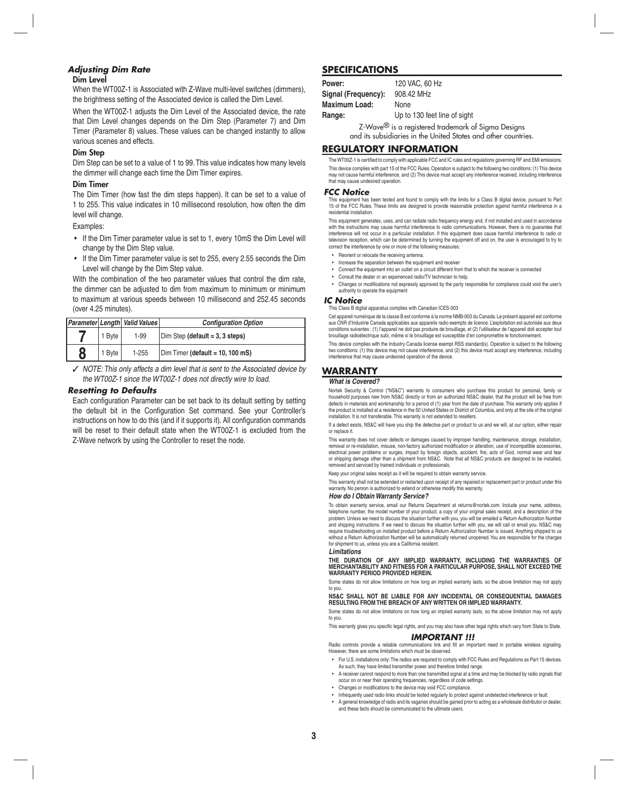# *Adjusting Dim Rate*

#### **Dim Level**

When the WT00Z-1 is Associated with Z-Wave multi-level switches (dimmers), the brightness setting of the Associated device is called the Dim Level.

When the WT00Z-1 adjusts the Dim Level of the Associated device, the rate that Dim Level changes depends on the Dim Step (Parameter 7) and Dim Timer (Parameter 8) values. These values can be changed instantly to allow various scenes and effects.

## **Dim Step**

Dim Step can be set to a value of 1 to 99. This value indicates how many levels the dimmer will change each time the Dim Timer expires.

# **Dim Timer**

The Dim Timer (how fast the dim steps happen). It can be set to a value of 1 to 255. This value indicates in 10 millisecond resolution, how often the dim level will change.

Examples:

- If the Dim Timer parameter value is set to 1, every 10mS the Dim Level will change by the Dim Step value.
- If the Dim Timer parameter value is set to 255, every 2.55 seconds the Dim Level will change by the Dim Step value.

With the combination of the two parameter values that control the dim rate, the dimmer can be adjusted to dim from maximum to minimum or minimum to maximum at various speeds between 10 millisecond and 252.45 seconds (over 4.25 minutes).

|   |        | Parameter Length Valid Values | <b>Configuration Option</b>       |
|---|--------|-------------------------------|-----------------------------------|
|   | 1 Byte | 1-99                          | $Dim Step (default = 3, 3 steps)$ |
| 8 | 1 Byte | 1-255                         | Dim Timer (default = 10, 100 mS)  |

✓ *NOTE: This only affects a dim level that is sent to the Associated device by the WT00Z-1 since the WT00Z-1 does not directly wire to load.*

# *Resetting to Defaults*

Each configuration Parameter can be set back to its default setting by setting the default bit in the Configuration Set command. See your Controller's instructions on how to do this (and if it supports it). All configuration commands will be reset to their default state when the WT00Z-1 is excluded from the Z-Wave network by using the Controller to reset the node.

# **SPECIFICATIONS**

| Power:               | 120 VAC, 60 Hz               |
|----------------------|------------------------------|
| Signal (Frequency):  | 908.42 MHz                   |
| <b>Maximum Load:</b> | None                         |
| Range:               | Up to 130 feet line of sight |

Z-Wave® is a registered trademark of Sigma Designs and its subsidiaries in the United States and other countries.

# **REGULATORY INFORMATION**

The WT00Z-1 is certified to comply with applicable FCC and IC rules and regulations governing RF and EMI emissions. This device complies with part 15 of the FCC Rules. Operation is subject to the following two conditions: (1) This device may not cause harmful interference, and (2) This device must accept any interference received, including interference that may cause undesired operation.

#### *FCC Notice*

This equipment has been tested and found to comply with the limits for a Class B digital device, pursuant to Part 115 of the FCC Rules. These limits are designed to provide reasonable protection against harmful interference in a residential installation

This equipment generates, uses, and can radiate radio frequency energy and, if not installed and used in accordance with the instructions may cause harmful interference to radio communications. However, there is no guarantee that interference will not occur in a particular installation. If this equipment does cause harmful interference to radio or television reception, which can be determined by turning the equipment off and on, the user is encouraged to try to correct the interference by one or more of the following measures:

- Reorient or relocate the receiving antenna.
- Increase the separation between the equipment and receiver
- Connect the equipment into an outlet on a circuit different from that to which the receiver is connected
- Consult the dealer or an experienced radio/TV technician to help
- Changes or modifications not expressly approved by the party responsible for compliance could void the user's authority to operate the equipment

#### *IC Notice*

This Class B digital apparatus complies with Canadian ICES-003

Cet appareil numérique de la classe B est conforme à la norme NMB-003 du Canada. Le présent appareil est conforme aux CNR d'Industrie Canada applicables aux appareils radio exempts de licence. L'exploitation est autorisée aux deux<br>conditions suivantes : (1) l'appareil ne doit pas produire de brouillage, et (2) l'utilisateur de l'appar brouillage radioélectrique subi, même si le brouillage est susceptible d'en compromettre le fonctionnement.

This device complies with the Industry Canada license exempt RSS standard(s). Operation is subject to the following two conditions: (1) this device may not cause interference, and (2) this device must accept any interference, including interference that may cause undesired operation of the device.

# **WARRANTY**

#### *What is Covered?*

Nortek Security & Control ("NS&C") warrants to consumers who purchase this product for personal, family or household purposes new from NS&C directly or from an authorized NS&C dealer, that the product will be free from defects in materials and workmanship for a period of (1) year from the date of purchase. This warranty only applies if the product is installed at a residence in the 50 United States or District of Columbia, and only at the site of the original installation. It is not transferable. This warranty is not extended to resellers.

If a defect exists, NS&C will have you ship the defective part or product to us and we will, at our option, either repair or replace it.

This warranty does not cover defects or damages caused by improper handling, maintenance, storage, installation, removal or re-installation, misuse, non-factory authorized modification or alteration, use of incompatible accessories,<br>electrical power problems or surges, impact by foreign objects, accident, fire, acts of God, normal we or shipping damage other than a shipment from NS&C. Note that all NS&C products are designed to be installed, removed and serviced by trained individuals or professionals.

Keep your original sales receipt as it will be required to obtain warranty service.

This warranty shall not be extended or restarted upon receipt of any repaired or replacement part or product under this warranty. No person is authorized to extend or otherwise modify this warranty.

#### *How do I Obtain Warranty Service?*

To obtain warranty service, email our Returns Department at returns@nortek.com. Include your name, address, telephone number, the model number of your product, a copy of your original sales receipt, and a description of the problem. Unless we need to discuss the situation further with you, you will be emailed a Return Authorization Number<br>and shipping instructions. If we need to discuss the situation further with you, we will call or email yo require troubleshooting on installed product before a Return Authorization Number is issued. Anything shipped to us without a Return Authorization Number will be automatically returned unopened. You are responsible for the charges for shipment to us, unless you are a California resident.

#### *Limitations*

# **THE DURATION OF ANY IMPLIED WARRANTY, INCLUDING THE WARRANTIES OF MERCHANTABILITY AND FITNESS FOR A PARTICULAR PURPOSE, SHALL NOT EXCEED THE WARRANTY PERIOD PROVIDED HEREIN.**

Some states do not allow limitations on how long an implied warranty lasts, so the above limitation may not apply to you.

#### **NS&C SHALL NOT BE LIABLE FOR ANY INCIDENTAL OR CONSEQUENTIAL DAMAGES RESULTING FROM THE BREACH OF ANY WRITTEN OR IMPLIED WARRANTY.**

Some states do not allow limitations on how long an implied warranty lasts, so the above limitation may not apply to you.

# This warranty gives you specific legal rights, and you may also have other legal rights which vary from State to State.

# *IMPORTANT !!!*

Radio controls provide a reliable communications link and fill an important need in portable wireless signaling However, there are some limitations which must be observed.

- For U.S. installations only: The radios are required to comply with FCC Rules and Regulations as Part 15 devices. As such, they have limited transmitter power and therefore limited range.
- A receiver cannot respond to more than one transmitted signal at a time and may be blocked by radio signals that occur on or near their operating frequencies, regardless of code settings.
- Changes or modifications to the device may void FCC compliance.
- Infrequently used radio links should be tested regularly to protect against undetected interference or fault.
- A general knowledge of radio and its vagaries should be gained prior to acting as a wholesale distributor or dealer, and these facts should be communicated to the ultimate users.